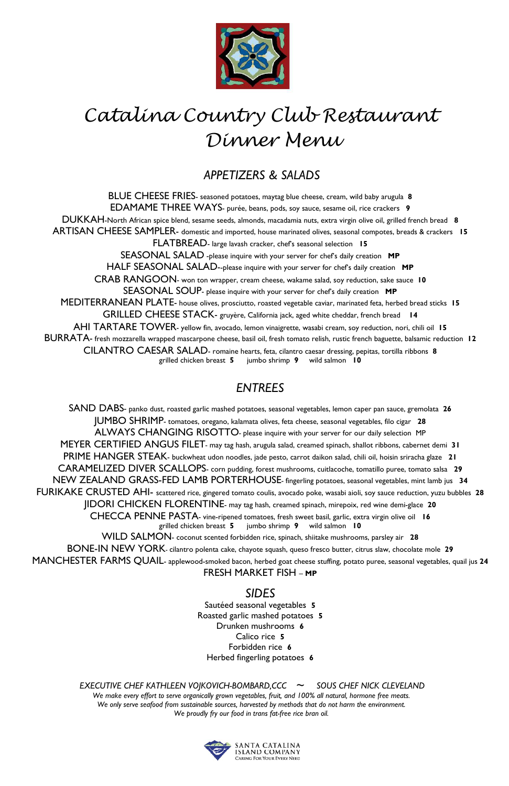

## *Catalina Country Club Restaurant Dinner Menu*

#### *APPETIZERS & SALADS*

BLUE CHEESE FRIES- seasoned potatoes, maytag blue cheese, cream, wild baby arugula **8** EDAMAME THREE WAYS- purée, beans, pods, soy sauce, sesame oil, rice crackers **9**  DUKKAH-North African spice blend, sesame seeds, almonds, macadamia nuts, extra virgin olive oil, grilled french bread **8** ARTISAN CHEESE SAMPLER- domestic and imported, house marinated olives, seasonal compotes, breads & crackers **15** FLATBREAD- large lavash cracker, chef's seasonal selection **15** SEASONAL SALAD -please inquire with your server for chef's daily creation **MP**  HALF SEASONAL SALAD--please inquire with your server for chef's daily creation **MP**  CRAB RANGOON- won ton wrapper, cream cheese, wakame salad, soy reduction, sake sauce **10** SEASONAL SOUP- please inquire with your server for chef's daily creation **MP** MEDITERRANEAN PLATE- house olives, prosciutto, roasted vegetable caviar, marinated feta, herbed bread sticks **15** GRILLED CHEESE STACK- gruyère, California jack, aged white cheddar, french bread **14**  AHI TARTARE TOWER- yellow fin, avocado, lemon vinaigrette, wasabi cream, soy reduction, nori, chili oil **15** BURRATA- fresh mozzarella wrapped mascarpone cheese, basil oil, fresh tomato relish, rustic french baguette, balsamic reduction **12** CILANTRO CAESAR SALAD- romaine hearts, feta, cilantro caesar dressing, pepitas, tortilla ribbons **8** grilled chicken breast **5** jumbo shrimp **9** wild salmon **10**

### *ENTREES*

SAND DABS*-* panko dust, roasted garlic mashed potatoes, seasonal vegetables, lemon caper pan sauce, gremolata **26** JUMBO SHRIMP- tomatoes, oregano, kalamata olives, feta cheese, seasonal vegetables, filo cigar **28** ALWAYS CHANGING RISOTTO*-* please inquire with your server for our daily selection MP MEYER CERTIFIED ANGUS FILET*-* may tag hash, arugula salad, creamed spinach, shallot ribbons, cabernet demi **31** PRIME HANGER STEAK- buckwheat udon noodles, jade pesto, carrot daikon salad, chili oil, hoisin sriracha glaze **21** CARAMELIZED DIVER SCALLOPS- corn pudding, forest mushrooms, cuitlacoche, tomatillo puree, tomato salsa **29** NEW ZEALAND GRASS-FED LAMB PORTERHOUSE*-* fingerling potatoes, seasonal vegetables, mint lamb jus **34** FURIKAKE CRUSTED AHI- scattered rice, gingered tomato coulis, avocado poke, wasabi aioli, soy sauce reduction, yuzu bubbles **28** JIDORI CHICKEN FLORENTINE- may tag hash, creamed spinach, mirepoix, red wine demi-glace **20** CHECCA PENNE PASTA- vine-ripened tomatoes, fresh sweet basil, garlic, extra virgin olive oil **16** grilled chicken breast **5** jumbo shrimp **9** wild salmon **10** WILD SALMON- coconut scented forbidden rice, spinach, shiitake mushrooms, parsley air **28** BONE-IN NEW YORK- cilantro polenta cake, chayote squash, queso fresco butter, citrus slaw, chocolate mole **29** MANCHESTER FARMS QUAIL- applewood-smoked bacon, herbed goat cheese stuffing, potato puree, seasonal vegetables, quail jus **24** FRESH MARKET FISH – **MP**

#### *SIDES*

Sautéed seasonal vegetables **5** Roasted garlic mashed potatoes **5** Drunken mushrooms **6** Calico rice **5** Forbidden rice **6**  Herbed fingerling potatoes **6**

 *EXECUTIVE CHEF KATHLEEN VOJKOVICH-BOMBARD,CCC ~ SOUS CHEF NICK CLEVELAND* 

*We make every effort to serve organically grown vegetables, fruit, and 100% all natural, hormone free meats. We only serve seafood from sustainable sources, harvested by methods that do not harm the environment. We proudly fry our food in trans fat-free rice bran oil.*